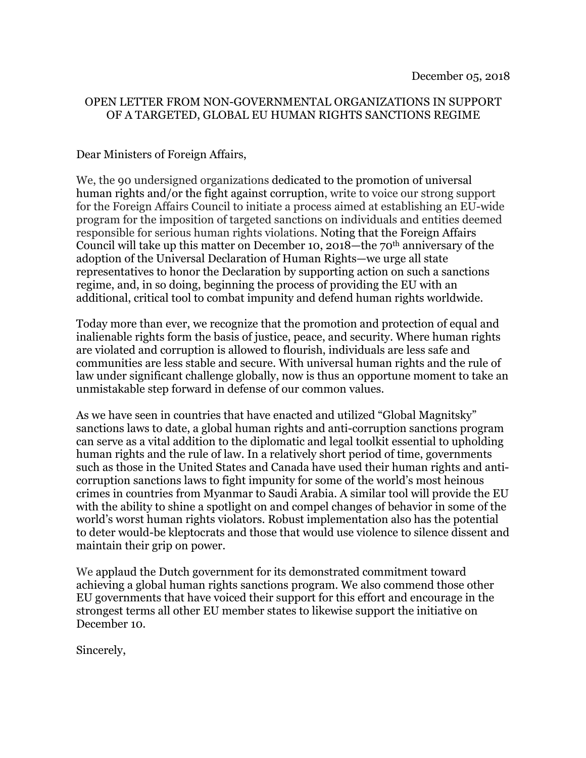## OPEN LETTER FROM NON-GOVERNMENTAL ORGANIZATIONS IN SUPPORT OF A TARGETED, GLOBAL EU HUMAN RIGHTS SANCTIONS REGIME

## Dear Ministers of Foreign Affairs,

We, the 90 undersigned organizations dedicated to the promotion of universal human rights and/or the fight against corruption, write to voice our strong support for the Foreign Affairs Council to initiate a process aimed at establishing an EU-wide program for the imposition of targeted sanctions on individuals and entities deemed responsible for serious human rights violations. Noting that the Foreign Affairs Council will take up this matter on December 10, 2018—the 70th anniversary of the adoption of the Universal Declaration of Human Rights—we urge all state representatives to honor the Declaration by supporting action on such a sanctions regime, and, in so doing, beginning the process of providing the EU with an additional, critical tool to combat impunity and defend human rights worldwide.

Today more than ever, we recognize that the promotion and protection of equal and inalienable rights form the basis of justice, peace, and security. Where human rights are violated and corruption is allowed to flourish, individuals are less safe and communities are less stable and secure. With universal human rights and the rule of law under significant challenge globally, now is thus an opportune moment to take an unmistakable step forward in defense of our common values.

As we have seen in countries that have enacted and utilized "Global Magnitsky" sanctions laws to date, a global human rights and anti-corruption sanctions program can serve as a vital addition to the diplomatic and legal toolkit essential to upholding human rights and the rule of law. In a relatively short period of time, governments such as those in the United States and Canada have used their human rights and anticorruption sanctions laws to fight impunity for some of the world's most heinous crimes in countries from Myanmar to Saudi Arabia. A similar tool will provide the EU with the ability to shine a spotlight on and compel changes of behavior in some of the world's worst human rights violators. Robust implementation also has the potential to deter would-be kleptocrats and those that would use violence to silence dissent and maintain their grip on power.

We applaud the Dutch government for its demonstrated commitment toward achieving a global human rights sanctions program. We also commend those other EU governments that have voiced their support for this effort and encourage in the strongest terms all other EU member states to likewise support the initiative on December 10.

Sincerely,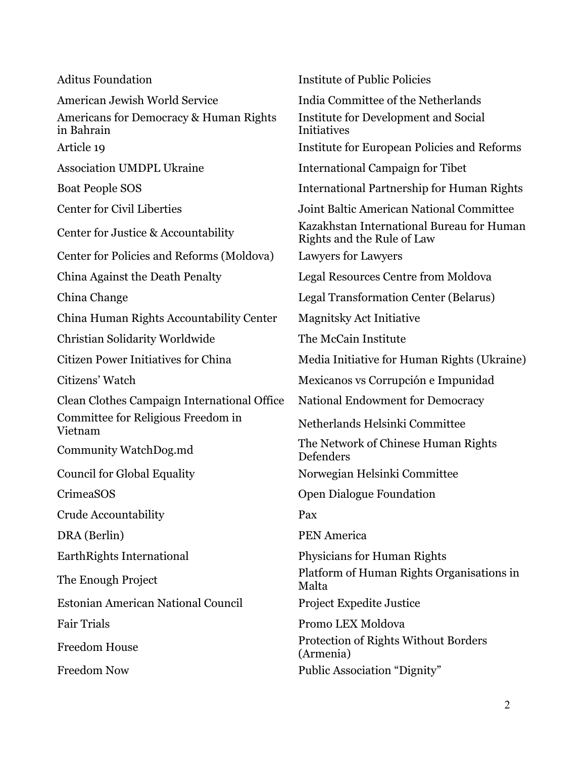| <b>Aditus Foundation</b>                             | <b>Institute of Public Policies</b>                                     |
|------------------------------------------------------|-------------------------------------------------------------------------|
| American Jewish World Service                        | India Committee of the Netherlands                                      |
| Americans for Democracy & Human Rights<br>in Bahrain | Institute for Development and Social<br><b>Initiatives</b>              |
| Article 19                                           | Institute for European Policies and Reforms                             |
| <b>Association UMDPL Ukraine</b>                     | <b>International Campaign for Tibet</b>                                 |
| <b>Boat People SOS</b>                               | <b>International Partnership for Human Rights</b>                       |
| <b>Center for Civil Liberties</b>                    | Joint Baltic American National Committee                                |
| Center for Justice & Accountability                  | Kazakhstan International Bureau for Human<br>Rights and the Rule of Law |
| Center for Policies and Reforms (Moldova)            | Lawyers for Lawyers                                                     |
| China Against the Death Penalty                      | Legal Resources Centre from Moldova                                     |
| China Change                                         | Legal Transformation Center (Belarus)                                   |
| China Human Rights Accountability Center             | <b>Magnitsky Act Initiative</b>                                         |
| Christian Solidarity Worldwide                       | The McCain Institute                                                    |
| <b>Citizen Power Initiatives for China</b>           | Media Initiative for Human Rights (Ukraine)                             |
| Citizens' Watch                                      | Mexicanos vs Corrupción e Impunidad                                     |
| Clean Clothes Campaign International Office          | <b>National Endowment for Democracy</b>                                 |
| Committee for Religious Freedom in<br>Vietnam        | Netherlands Helsinki Committee                                          |
| Community WatchDog.md                                | The Network of Chinese Human Rights<br>Defenders                        |
| <b>Council for Global Equality</b>                   | Norwegian Helsinki Committee                                            |
| CrimeaSOS                                            | <b>Open Dialogue Foundation</b>                                         |
| Crude Accountability                                 | Pax                                                                     |
| DRA (Berlin)                                         | <b>PEN</b> America                                                      |
| EarthRights International                            | Physicians for Human Rights                                             |
| The Enough Project                                   | Platform of Human Rights Organisations in<br>Malta                      |
| Estonian American National Council                   | <b>Project Expedite Justice</b>                                         |
| <b>Fair Trials</b>                                   | Promo LEX Moldova                                                       |
| <b>Freedom House</b>                                 | Protection of Rights Without Borders<br>(Armenia)                       |
| <b>Freedom Now</b>                                   | Public Association "Dignity"                                            |